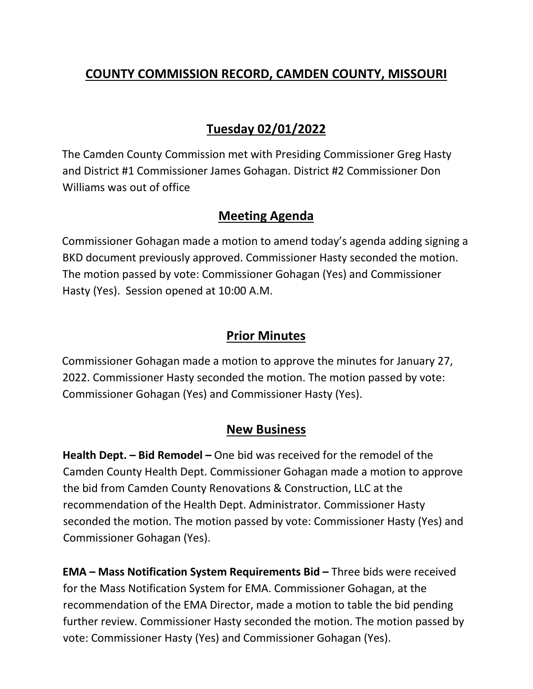# **COUNTY COMMISSION RECORD, CAMDEN COUNTY, MISSOURI**

# **Tuesday 02/01/2022**

The Camden County Commission met with Presiding Commissioner Greg Hasty and District #1 Commissioner James Gohagan. District #2 Commissioner Don Williams was out of office

### **Meeting Agenda**

Commissioner Gohagan made a motion to amend today's agenda adding signing a BKD document previously approved. Commissioner Hasty seconded the motion. The motion passed by vote: Commissioner Gohagan (Yes) and Commissioner Hasty (Yes). Session opened at 10:00 A.M.

### **Prior Minutes**

Commissioner Gohagan made a motion to approve the minutes for January 27, 2022. Commissioner Hasty seconded the motion. The motion passed by vote: Commissioner Gohagan (Yes) and Commissioner Hasty (Yes).

### **New Business**

**Health Dept. – Bid Remodel –** One bid was received for the remodel of the Camden County Health Dept. Commissioner Gohagan made a motion to approve the bid from Camden County Renovations & Construction, LLC at the recommendation of the Health Dept. Administrator. Commissioner Hasty seconded the motion. The motion passed by vote: Commissioner Hasty (Yes) and Commissioner Gohagan (Yes).

**EMA – Mass Notification System Requirements Bid –** Three bids were received for the Mass Notification System for EMA. Commissioner Gohagan, at the recommendation of the EMA Director, made a motion to table the bid pending further review. Commissioner Hasty seconded the motion. The motion passed by vote: Commissioner Hasty (Yes) and Commissioner Gohagan (Yes).